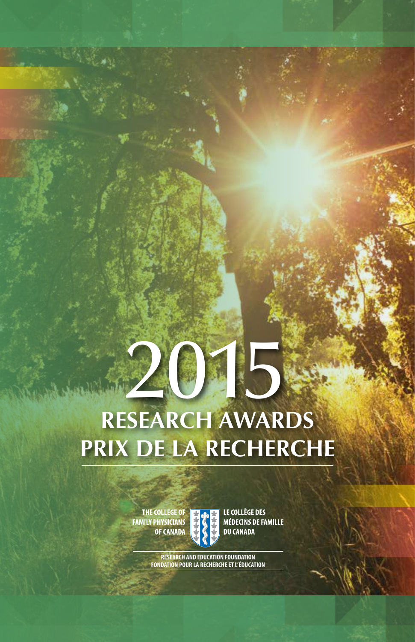# **RESEARCH AWARDS PRIX DE LA RECHERCHE**

THE COLLEGE OF FAMILY PHYSICIANS<br>OF CANADA



LE COLLÈGE DES **MÉDECINS DE FAMILLE DU CANADA** 

20

**RESEARCH AND EDUCATION FOUNDATION FONDATION POUR LA RECHERCHE ET L'ÉDUCATION**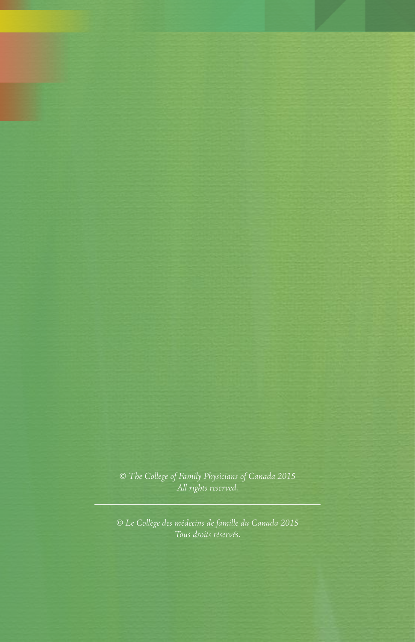*© The College of Family Physicians of Canada 2015 All rights reserved.* 

*© Le Collège des médecins de famille du Canada 2015*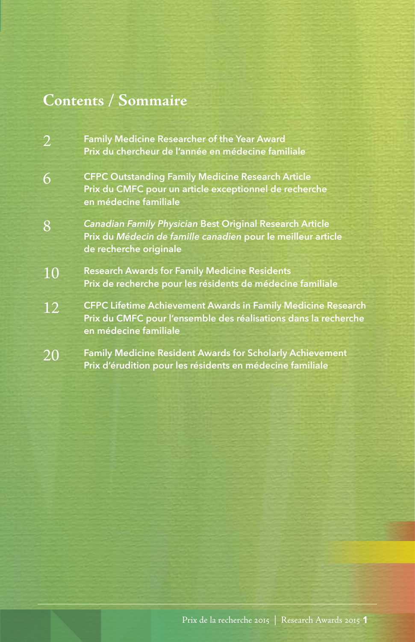## **Contents / Sommaire**

- 2 **Family Medicine Researcher of the Year Award Prix du chercheur de l'année en médecine familiale**
- 6 **CFPC Outstanding Family Medicine Research Article Prix du CMFC pour un article exceptionnel de recherche en médecine familiale**
- 8 *Canadian Family Physician* **Best Original Research Article Prix du** *Médecin de famille canadien* **pour le meilleur article de recherche originale**
- 10 **Research Awards for Family Medicine Residents Prix de recherche pour les résidents de médecine familiale**
- 12 **CFPC Lifetime Achievement Awards in Family Medicine Research Prix du CMFC pour l'ensemble des réalisations dans la recherche en médecine familiale**
- 20 **Family Medicine Resident Awards for Scholarly Achievement Prix d'érudition pour les résidents en médecine familiale**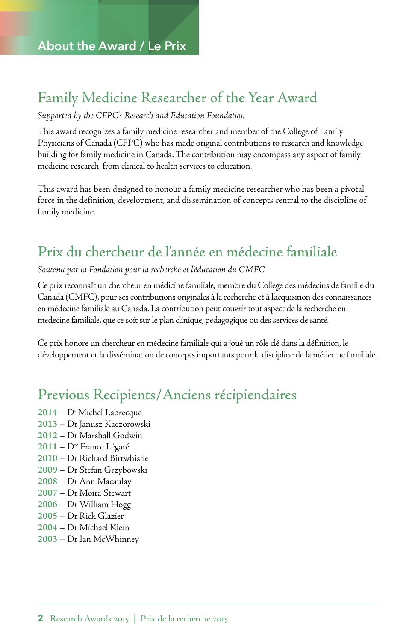### Family Medicine Researcher of the Year Award

### *Supported by the CFPC's Research and Education Foundation*

This award recognizes a family medicine researcher and member of the College of Family Physicians of Canada (CFPC) who has made original contributions to research and knowledge building for family medicine in Canada. The contribution may encompass any aspect of family medicine research, from clinical to health services to education.

This award has been designed to honour a family medicine researcher who has been a pivotal force in the definition, development, and dissemination of concepts central to the discipline of family medicine.

### Prix du chercheur de l'année en médecine familiale

*Soutenu par la Fondation pour la recherche et l'éducation du CMFC* 

Ce prix reconnaît un chercheur en médicine familiale, membre du College des médecins de famille du Canada (CMFC), pour ses contributions originales à la recherche et à l'acquisition des connaissances en médecine familiale au Canada. La contribution peut couvrir tout aspect de la recherche en médecine familiale, que ce soit sur le plan clinique, pédagogique ou des services de santé.

Ce prix honore un chercheur en médecine familiale qui a joué un rôle clé dans la définition, le développement et la dissémination de concepts importants pour la discipline de la médecine familiale.

### Previous Recipients/Anciens récipiendaires

- **2014** Dr Michel Labrecque
- **2013** Dr Janusz Kaczorowski
- **2012** Dr Marshall Godwin
- **2011** Dre France Légaré
- **2010** Dr Richard Birtwhistle
- **2009** Dr Stefan Grzybowski
- **2008** Dr Ann Macaulay
- **2007** Dr Moira Stewart
- **2006** Dr William Hogg
- **2005** Dr Rick Glazier
- **2004** Dr Michael Klein
- **2003** Dr Ian McWhinney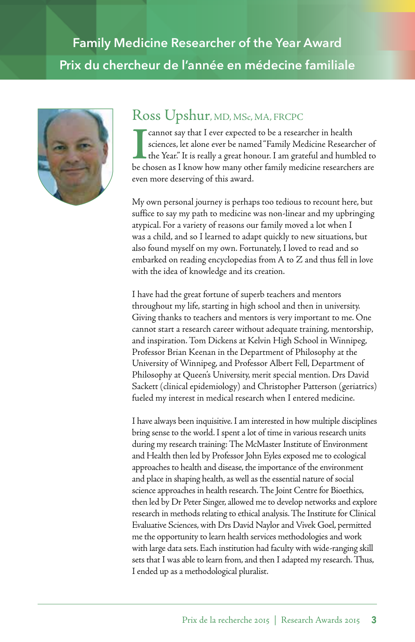## **Family Medicine Researcher of the Year Award Prix du chercheur de l'année en médecine familiale**



### Ross Upshur, MD, MSc, MA, FRCPC

**I** cannot say that I ever expected to be a researcher in health sciences, let alone ever be named "Family Medicine Researcher of the Year." It is really a great honour. I am grateful and humbled to be chosen as I know how cannot say that I ever expected to be a researcher in health sciences, let alone ever be named "Family Medicine Researcher of the Year." It is really a great honour. I am grateful and humbled to even more deserving of this award.

My own personal journey is perhaps too tedious to recount here, but suffice to say my path to medicine was non-linear and my upbringing atypical. For a variety of reasons our family moved a lot when I was a child, and so I learned to adapt quickly to new situations, but also found myself on my own. Fortunately, I loved to read and so embarked on reading encyclopedias from A to Z and thus fell in love with the idea of knowledge and its creation.

I have had the great fortune of superb teachers and mentors throughout my life, starting in high school and then in university. Giving thanks to teachers and mentors is very important to me. One cannot start a research career without adequate training, mentorship, and inspiration. Tom Dickens at Kelvin High School in Winnipeg, Professor Brian Keenan in the Department of Philosophy at the University of Winnipeg, and Professor Albert Fell, Department of Philosophy at Queen's University, merit special mention. Drs David Sackett (clinical epidemiology) and Christopher Patterson (geriatrics) fueled my interest in medical research when I entered medicine.

 sets that I was able to learn from, and then I adapted my research. Thus, I have always been inquisitive. I am interested in how multiple disciplines bring sense to the world. I spent a lot of time in various research units during my research training: The McMaster Institute of Environment and Health then led by Professor John Eyles exposed me to ecological approaches to health and disease, the importance of the environment and place in shaping health, as well as the essential nature of social science approaches in health research. The Joint Centre for Bioethics, then led by Dr Peter Singer, allowed me to develop networks and explore research in methods relating to ethical analysis. The Institute for Clinical Evaluative Sciences, with Drs David Naylor and Vivek Goel, permitted me the opportunity to learn health services methodologies and work with large data sets. Each institution had faculty with wide-ranging skill I ended up as a methodological pluralist.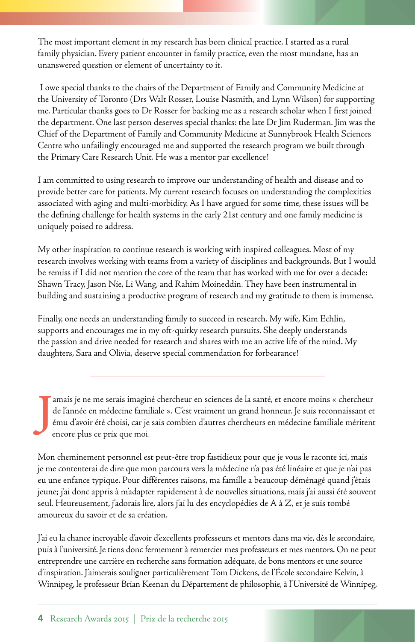The most important element in my research has been clinical practice. I started as a rural family physician. Every patient encounter in family practice, even the most mundane, has an unanswered question or element of uncertainty to it.

 I owe special thanks to the chairs of the Department of Family and Community Medicine at the University of Toronto (Drs Walt Rosser, Louise Nasmith, and Lynn Wilson) for supporting me. Particular thanks goes to Dr Rosser for backing me as a research scholar when I first joined the department. One last person deserves special thanks: the late Dr Jim Ruderman. Jim was the Chief of the Department of Family and Community Medicine at Sunnybrook Health Sciences Centre who unfailingly encouraged me and supported the research program we built through the Primary Care Research Unit. He was a mentor par excellence!

I am committed to using research to improve our understanding of health and disease and to provide better care for patients. My current research focuses on understanding the complexities associated with aging and multi-morbidity. As I have argued for some time, these issues will be the defining challenge for health systems in the early 21st century and one family medicine is uniquely poised to address.

My other inspiration to continue research is working with inspired colleagues. Most of my research involves working with teams from a variety of disciplines and backgrounds. But I would be remiss if I did not mention the core of the team that has worked with me for over a decade: Shawn Tracy, Jason Nie, Li Wang, and Rahim Moineddin. They have been instrumental in building and sustaining a productive program of research and my gratitude to them is immense.

Finally, one needs an understanding family to succeed in research. My wife, Kim Echlin, supports and encourages me in my oft-quirky research pursuits. She deeply understands the passion and drive needed for research and shares with me an active life of the mind. My daughters, Sara and Olivia, deserve special commendation for forbearance!

**J** amais je ne me serais imaginé chercheur en sciences de la santé, et encore moins « chercheur de l'année en médecine familiale ». C'est vraiment un grand honneur. Je suis reconnaissant et ému d'avoir été choisi, car je sais combien d'autres chercheurs en médecine familiale méritent encore plus ce prix que moi.

Mon cheminement personnel est peut-être trop fastidieux pour que je vous le raconte ici, mais je me contenterai de dire que mon parcours vers la médecine n'a pas été linéaire et que je n'ai pas eu une enfance typique. Pour différentes raisons, ma famille a beaucoup déménagé quand j'étais jeune; j'ai donc appris à m'adapter rapidement à de nouvelles situations, mais j'ai aussi été souvent seul. Heureusement, j'adorais lire, alors j'ai lu des encyclopédies de A à Z, et je suis tombé amoureux du savoir et de sa création.

 Winnipeg, le professeur Brian Keenan du Département de philosophie, à l'Université de Winnipeg, J'ai eu la chance incroyable d'avoir d'excellents professeurs et mentors dans ma vie, dès le secondaire, puis à l'université. Je tiens donc fermement à remercier mes professeurs et mes mentors. On ne peut entreprendre une carrière en recherche sans formation adéquate, de bons mentors et une source d'inspiration. J'aimerais souligner particulièrement Tom Dickens, de l'École secondaire Kelvin, à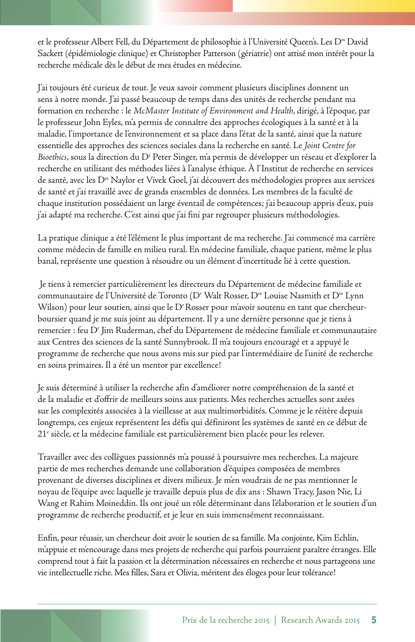et le professeur Albert Fell, du Département de philosophie à l'Université Queen's. Les D<sup>rs</sup> David Sackett (épidémiologie clinique) et Christopher Patterson (gériatrie) ont attisé mon intérêt pour la recherche médicale dès le début de mes études en médecine.

J'ai toujours été curieux de tout. Je veux savoir comment plusieurs disciplines donnent un sens à notre monde. J'ai passé beaucoup de temps dans des unités de recherche pendant ma formation en recherche : le *McMaster Institute of Environment and Health*, dirigé, à l'époque, par le professeur John Eyles, m'a permis de connaître des approches écologiques à la santé et à la maladie, l'importance de l'environnement et sa place dans l'état de la santé, ainsi que la nature essentielle des approches des sciences sociales dans la recherche en santé. Le *Joint Centre for*  Bioethics, sous la direction du D<sup>r</sup> Peter Singer, m'a permis de développer un réseau et d'explorer la recherche en utilisant des méthodes liées à l'analyse éthique. À l'Institut de recherche en services de santé, avec les Drs Naylor et Vivek Goel, j'ai découvert des méthodologies propres aux services de santé et j'ai travaillé avec de grands ensembles de données. Les membres de la faculté de chaque institution possédaient un large éventail de compétences; j'ai beaucoup appris d'eux, puis j'ai adapté ma recherche. C'est ainsi que j'ai fini par regrouper plusieurs méthodologies.

La pratique clinique a été l'élément le plus important de ma recherche. J'ai commencé ma carrière comme médecin de famille en milieu rural. En médecine familiale, chaque patient, même le plus banal, représente une question à résoudre ou un élément d'incertitude lié à cette question.

 Je tiens à remercier particulièrement les directeurs du Département de médecine familiale et communautaire de l'Université de Toronto (D*r* Walt Rosser, Dre Louise Nasmith et Dre Lynn Wilson) pour leur soutien, ainsi que le D*r* Rosser pour m'avoir soutenu en tant que chercheurboursier quand je me suis joint au département. Il y a une dernière personne que je tiens à remercier : feu D*<sup>r</sup>* Jim Ruderman, chef du Département de médecine familiale et communautaire aux Centres des sciences de la santé Sunnybrook. Il m'a toujours encouragé et a appuyé le programme de recherche que nous avons mis sur pied par l'intermédiaire de l'unité de recherche en soins primaires. Il a été un mentor par excellence!

Je suis déterminé à utiliser la recherche afin d'améliorer notre compréhension de la santé et de la maladie et d'offrir de meilleurs soins aux patients. Mes recherches actuelles sont axées sur les complexités associées à la vieillesse at aux multimorbidités. Comme je le réitère depuis longtemps, ces enjeux représentent les défis qui définiront les systèmes de santé en ce début de 21<sup>e</sup> siècle, et la médecine familiale est particulièrement bien placée pour les relever.

Travailler avec des collègues passionnés m'a poussé à poursuivre mes recherches. La majeure partie de mes recherches demande une collaboration d'équipes composées de membres provenant de diverses disciplines et divers milieux. Je m'en voudrais de ne pas mentionner le noyau de l'équipe avec laquelle je travaille depuis plus de dix ans : Shawn Tracy, Jason Nie, Li Wang et Rahim Moineddin. Ils ont joué un rôle déterminant dans l'élaboration et le soutien d'un programme de recherche productif, et je leur en suis immensément reconnaissant.

Enfin, pour réussir, un chercheur doit avoir le soutien de sa famille. Ma conjointe, Kim Echlin, m'appuie et m'encourage dans mes projets de recherche qui parfois pourraient paraître étranges. Elle comprend tout à fait la passion et la détermination nécessaires en recherche et nous partageons une vie intellectuelle riche. Mes filles, Sara et Olivia, méritent des éloges pour leur tolérance!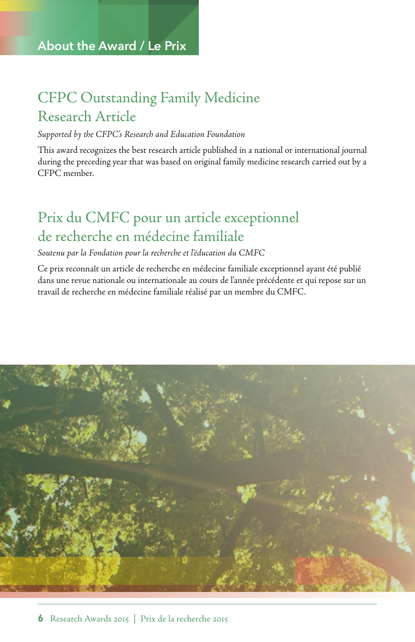### CFPC Outstanding Family Medicine Research Article

### *Supported by the CFPC's Research and Education Foundation*

This award recognizes the best research article published in a national or international journal during the preceding year that was based on original family medicine research carried out by a CFPC member.

## Prix du CMFC pour un article exceptionnel de recherche en médecine familiale

### *Soutenu par la Fondation pour la recherche et l'éducation du CMFC*

Ce prix reconnaît un article de recherche en médecine familiale exceptionnel ayant été publié dans une revue nationale ou internationale au cours de l'année précédente et qui repose sur un travail de recherche en médecine familiale réalisé par un membre du CMFC.

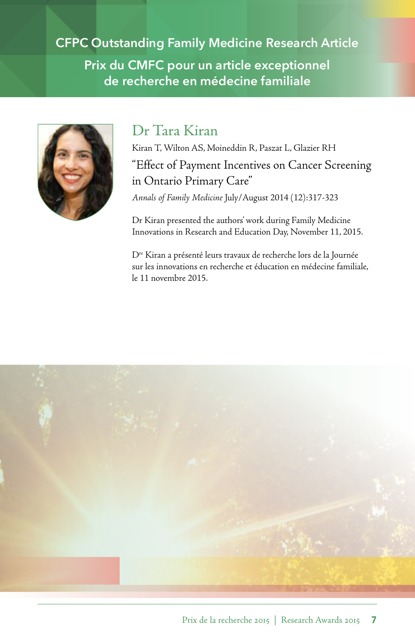**CFPC Outstanding Family Medicine Research Article Prix du CMFC pour un article exceptionnel de recherche en médecine familiale** 



### Dr Tara Kiran

Kiran T, Wilton AS, Moineddin R, Paszat L, Glazier RH "Effect of Payment Incentives on Cancer Screening in Ontario Primary Care" *Annals of Family Medicine* July/August 2014 (12):317-323

Dr Kiran presented the authors' work during Family Medicine Innovations in Research and Education Day, November 11, 2015.

sur les innovations en recherche et éducation en médecine familiale,<br>le 11 novembre 2015. Dre Kiran a présenté leurs travaux de recherche lors de la Journée

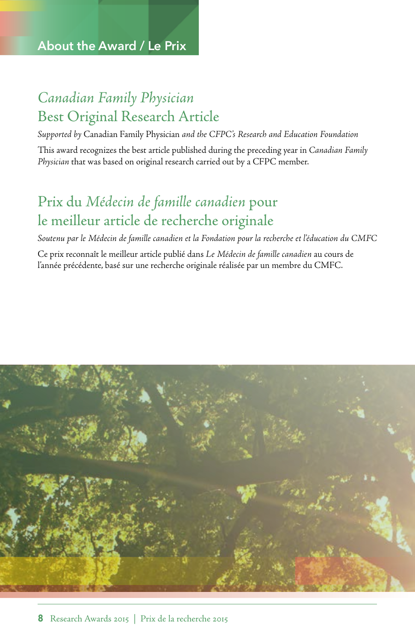### *Canadian Family Physician* Best Original Research Article

*Supported by* Canadian Family Physician *and the CFPC's Research and Education Foundation*  This award recognizes the best article published during the preceding year in *Canadian Family Physician* that was based on original research carried out by a CFPC member.

## Prix du *Médecin de famille canadien* pour le meilleur article de recherche originale

*Soutenu par le Médecin de famille canadien et la Fondation pour la recherche et l'éducation du CMFC* 

Ce prix reconnaît le meilleur article publié dans *Le Médecin de famille canadien* au cours de l'année précédente, basé sur une recherche originale réalisée par un membre du CMFC.

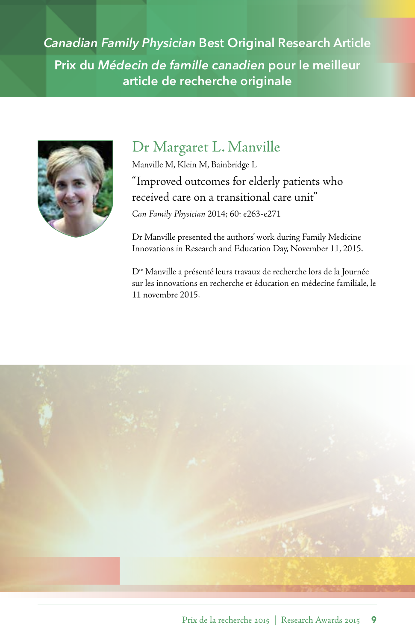*Canadian Family Physician* **Best Original Research Article Prix du** *Médecin de famille canadien* **pour le meilleur article de recherche originale** 



### Dr Margaret L. Manville

Manville M, Klein M, Bainbridge L "Improved outcomes for elderly patients who received care on a transitional care unit" *Can Family Physician* 2014; 60: e263-e271

Dr Manville presented the authors' work during Family Medicine Innovations in Research and Education Day, November 11, 2015.

Dre Manville a présenté leurs travaux de recherche lors de la Journée sur les innovations en recherche et éducation en médecine familiale, le 11 novembre 2015.

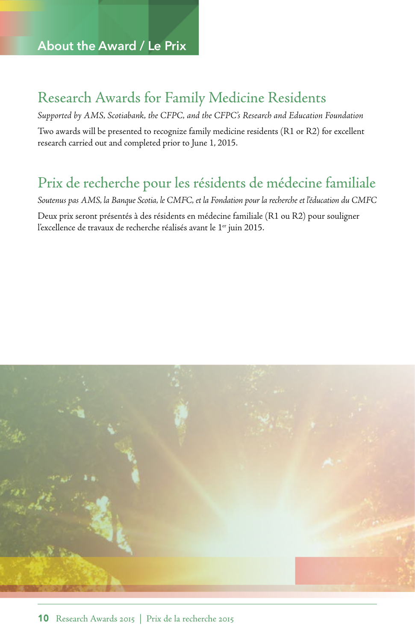### Research Awards for Family Medicine Residents

*Supported by AMS, Scotiabank, the CFPC, and the CFPC's Research and Education Foundation*  Two awards will be presented to recognize family medicine residents (R1 or R2) for excellent research carried out and completed prior to June 1, 2015.

### Prix de recherche pour les résidents de médecine familiale

*Soutenus pas AMS, la Banque Scotia, le CMFC, et la Fondation pour la recherche et l'éducation du CMFC*  Deux prix seront présentés à des résidents en médecine familiale (R1 ou R2) pour souligner l'excellence de travaux de recherche réalisés avant le 1<sup>er</sup> juin 2015.

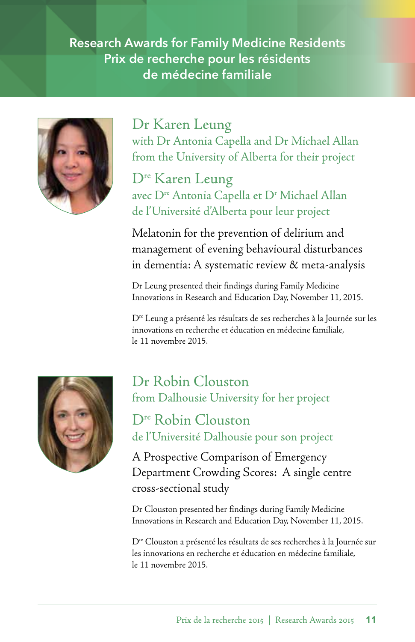### **Research Awards for Family Medicine Residents Prix de recherche pour les résidents de médecine familiale**



### Dr Karen Leung

with Dr Antonia Capella and Dr Michael Allan from the University of Alberta for their project

Dre Karen Leung avec D<sup>re</sup> Antonia Capella et D<sup>r</sup> Michael Allan de l'Université d'Alberta pour leur project

Melatonin for the prevention of delirium and management of evening behavioural disturbances in dementia: A systematic review & meta-analysis

Dr Leung presented their findings during Family Medicine Innovations in Research and Education Day, November 11, 2015.

 innovations en recherche et éducation en médecine familiale, Dre Leung a présenté les résultats de ses recherches à la Journée sur les le 11 novembre 2015.



### Dr Robin Clouston from Dalhousie University for her project

Dre Robin Clouston de l'Université Dalhousie pour son project

 Department Crowding Scores: A single centre A Prospective Comparison of Emergency cross-sectional study

Dr Clouston presented her findings during Family Medicine Innovations in Research and Education Day, November 11, 2015.

les innovations en recherche et éducation en médecine familiale,<br>le 11 novembre 2015. Dre Clouston a présenté les résultats de ses recherches à la Journée sur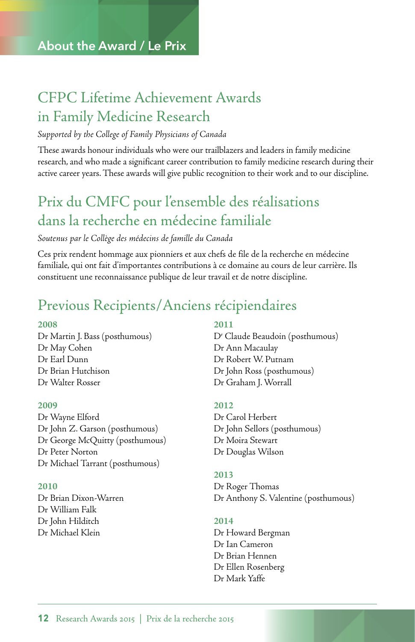## CFPC Lifetime Achievement Awards in Family Medicine Research

### *Supported by the College of Family Physicians of Canada*

These awards honour individuals who were our trailblazers and leaders in family medicine research, and who made a significant career contribution to family medicine research during their active career years. These awards will give public recognition to their work and to our discipline.

## Prix du CMFC pour l'ensemble des réalisations dans la recherche en médecine familiale

### *Soutenus par le Collège des médecins de famille du Canada*

Ces prix rendent hommage aux pionniers et aux chefs de file de la recherche en médecine familiale, qui ont fait d'importantes contributions à ce domaine au cours de leur carrière. Ils constituent une reconnaissance publique de leur travail et de notre discipline.

### Previous Recipients/Anciens récipiendaires

Dr Martin J. Bass (posthumous) Dr May Cohen Dr Ann Macaulay Dr Earl Dunn Dr Robert W. Putnam Dr Brian Hutchison Dr John Ross (posthumous) Dr Walter Rosser Dr Graham J. Worrall

Dr Wayne Elford Dr Carol Herbert Dr John Z. Garson (posthumous) Dr John Sellors (posthumous) Dr George McQuitty (posthumous) Dr Moira Stewart Dr Peter Norton Dr Douglas Wilson Dr Michael Tarrant (posthumous)

Dr William Falk Dr John Hilditch **2014**  Dr Michael Klein Dr Howard Bergman

### **2008 2011**

D<sup>r</sup> Claude Beaudoin (posthumous)

### **2009 2012**

### **2013**

 Dr Brian Dixon-Warren Dr Anthony S. Valentine (posthumous) **2010** Dr Roger Thomas

Dr Ian Cameron Dr Brian Hennen Dr Ellen Rosenberg Dr Mark Yaffe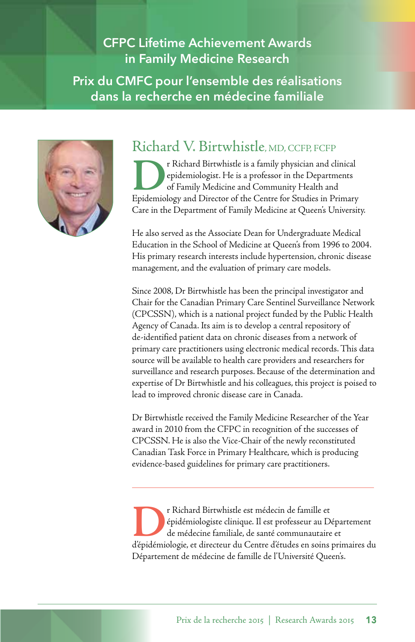### **CFPC Lifetime Achievement Awards in Family Medicine Research Prix du CMFC pour l'ensemble des réalisations dans la recherche en médecine familiale**



### Richard V. Birtwhistle, MD, CCFP, FCFP

**Preference A**rt Richard Birtwhistle is a family physician and clinical epidemiologist. He is a professor in the Departments of Family Medicine and Community Health and Epidemiology and Director of the Centre for Studies i epidemiologist. He is a professor in the Departments of Family Medicine and Community Health and Epidemiology and Director of the Centre for Studies in Primary Care in the Department of Family Medicine at Queen's University.

He also served as the Associate Dean for Undergraduate Medical Education in the School of Medicine at Queen's from 1996 to 2004. His primary research interests include hypertension, chronic disease management, and the evaluation of primary care models.

Since 2008, Dr Birtwhistle has been the principal investigator and Chair for the Canadian Primary Care Sentinel Surveillance Network (CPCSSN), which is a national project funded by the Public Health Agency of Canada. Its aim is to develop a central repository of de-identified patient data on chronic diseases from a network of primary care practitioners using electronic medical records. This data source will be available to health care providers and researchers for surveillance and research purposes. Because of the determination and expertise of Dr Birtwhistle and his colleagues, this project is poised to lead to improved chronic disease care in Canada.

Dr Birtwhistle received the Family Medicine Researcher of the Year award in 2010 from the CFPC in recognition of the successes of CPCSSN. He is also the Vice-Chair of the newly reconstituted Canadian Task Force in Primary Healthcare, which is producing evidence-based guidelines for primary care practitioners.

**Presidémiologiste clinique. Il est professeur au Département<br>de médecine familiale, de santé communautaire et<br>d'épidémiologie, et directeur du Centre d'études en soins primaires du** épidémiologiste clinique. Il est professeur au Département de médecine familiale, de santé communautaire et Département de médecine de famille de l'Université Queen's.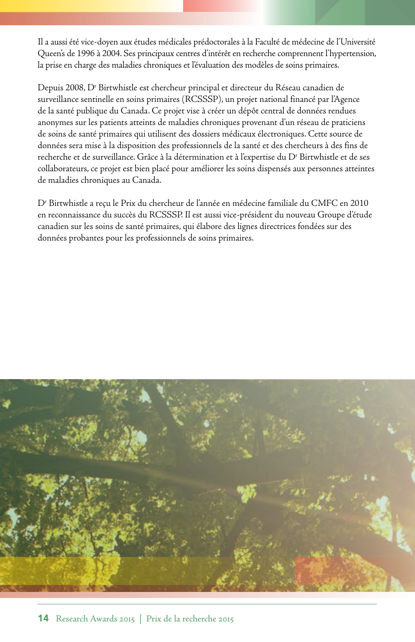Il a aussi été vice-doyen aux études médicales prédoctorales à la Faculté de médecine de l'Université Queen's de 1996 à 2004. Ses principaux centres d'intérêt en recherche comprennent l'hypertension, la prise en charge des maladies chroniques et l'évaluation des modèles de soins primaires.

Depuis 2008, Dr Birtwhistle est chercheur principal et directeur du Réseau canadien de surveillance sentinelle en soins primaires (RCSSSP), un projet national financé par l'Agence de la santé publique du Canada. Ce projet vise à créer un dépôt central de données rendues anonymes sur les patients atteints de maladies chroniques provenant d'un réseau de praticiens de soins de santé primaires qui utilisent des dossiers médicaux électroniques. Cette source de données sera mise à la disposition des professionnels de la santé et des chercheurs à des fins de recherche et de surveillance. Grâce à la détermination et à l'expertise du Dr Birtwhistle et de ses collaborateurs, ce projet est bien placé pour améliorer les soins dispensés aux personnes atteintes de maladies chroniques au Canada.

Dr Birtwhistle a reçu le Prix du chercheur de l'année en médecine familiale du CMFC en 2010 en reconnaissance du succès du RCSSSP. Il est aussi vice-président du nouveau Groupe d'étude canadien sur les soins de santé primaires, qui élabore des lignes directrices fondées sur des données probantes pour les professionnels de soins primaires.

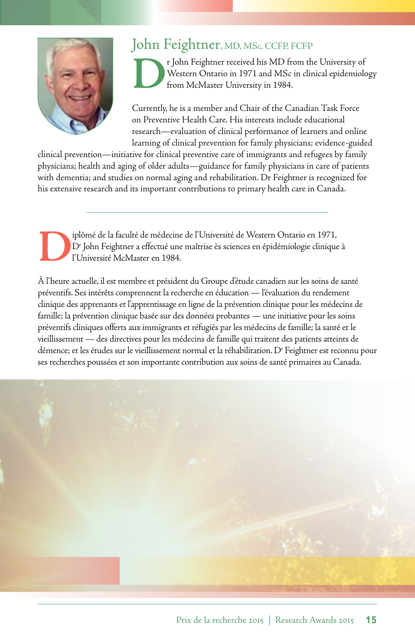

### John Feightner, MD, MSc, CCFP, FCFP

**D**r John Feightner received his MD from the University of Western Ontario in 1971 and MSc in clinical epidemiole from McMaster University in 1984. Western Ontario in 1971 and MSc in clinical epidemiology from McMaster University in 1984.

Currently, he is a member and Chair of the Canadian Task Force on Preventive Health Care. His interests include educational research—evaluation of clinical performance of learners and online learning of clinical prevention for family physicians; evidence-guided

clinical prevention—initiative for clinical preventive care of immigrants and refugees by family physicians; health and aging of older adults—guidance for family physicians in care of patients with dementia; and studies on normal aging and rehabilitation. Dr Feightner is recognized for his extensive research and its important contributions to primary health care in Canada.

iplômé de la faculté de médecine de l'Université de Western Ontario en 1971,<br>D<sup>r</sup> John Feightner a effectué une maîtrise ès sciences en épidémiologie clinique<br>l'Université McMaster en 1984. Dr John Feightner a effectué une maîtrise ès sciences en épidémiologie clinique à l'Université McMaster en 1984.

À l'heure actuelle, il est membre et président du Groupe d'étude canadien sur les soins de santé préventifs. Ses intérêts comprennent la recherche en éducation — l'évaluation du rendement clinique des apprenants et l'apprentissage en ligne de la prévention clinique pour les médecins de famille; la prévention clinique basée sur des données probantes — une initiative pour les soins préventifs cliniques offerts aux immigrants et réfugiés par les médecins de famille; la santé et le vieillissement — des directives pour les médecins de famille qui traitent des patients atteints de démence; et les études sur le vieillissement normal et la réhabilitation. D' Feightner est reconnu pour ses recherches poussées et son importante contribution aux soins de santé primaires au Canada.

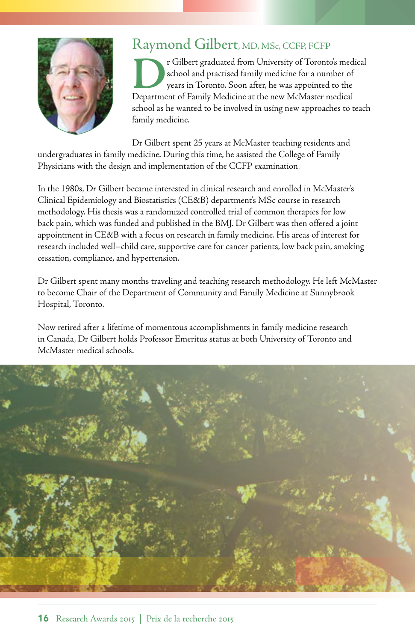

### Raymond Gilbert, MD, MSc, CCFP, FCFP

**Preference is a control of Toronto's medical school and practised family medicine for a number of years in Toronto. Soon after, he was appointed to the Department of Family Medicine at the new McMaster medical** school and practised family medicine for a number of years in Toronto. Soon after, he was appointed to the Department of Family Medicine at the new McMaster medical school as he wanted to be involved in using new approaches to teach family medicine.

Dr Gilbert spent 25 years at McMaster teaching residents and undergraduates in family medicine. During this time, he assisted the College of Family Physicians with the design and implementation of the CCFP examination.

In the 1980s, Dr Gilbert became interested in clinical research and enrolled in McMaster's Clinical Epidemiology and Biostatistics (CE&B) department's MSc course in research methodology. His thesis was a randomized controlled trial of common therapies for low back pain, which was funded and published in the BMJ. Dr Gilbert was then offered a joint appointment in CE&B with a focus on research in family medicine. His areas of interest for research included well–child care, supportive care for cancer patients, low back pain, smoking cessation, compliance, and hypertension.

Dr Gilbert spent many months traveling and teaching research methodology. He left McMaster to become Chair of the Department of Community and Family Medicine at Sunnybrook Hospital, Toronto.

Now retired after a lifetime of momentous accomplishments in family medicine research in Canada, Dr Gilbert holds Professor Emeritus status at both University of Toronto and McMaster medical schools.

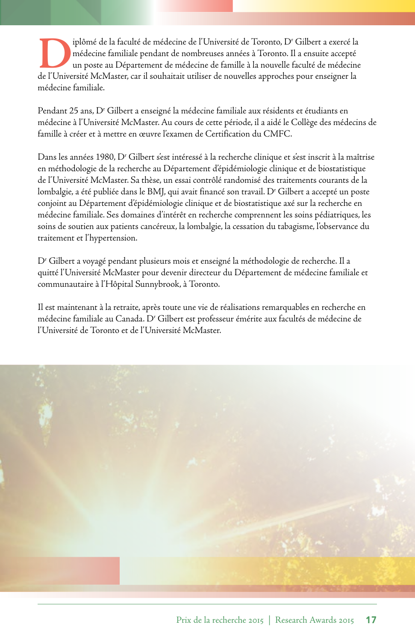Iplômé de la faculté de médecine de l'Université de Toronto, D<sup>r</sup> Gilbert a exercé la<br>
médecine familiale pendant de nombreuses années à Toronto. Il a ensuite accepté<br>
de l'Université McMaster, car il souhaitait utiliser d iplômé de la faculté de médecine de l'Université de Toronto, D<sup>r</sup> Gilbert a exercé la médecine familiale pendant de nombreuses années à Toronto. Il a ensuite accepté un poste au Département de médecine de famille à la nouvelle faculté de médecine médecine familiale.

Pendant 25 ans, D<sup>r</sup> Gilbert a enseigné la médecine familiale aux résidents et étudiants en médecine à l'Université McMaster. Au cours de cette période, il a aidé le Collège des médecins de famille à créer et à mettre en œuvre l'examen de Certification du CMFC.

Dans les années 1980, D<sup>r</sup> Gilbert s'est intéressé à la recherche clinique et s'est inscrit à la maîtrise en méthodologie de la recherche au Département d'épidémiologie clinique et de biostatistique de l'Université McMaster. Sa thèse, un essai contrôlé randomisé des traitements courants de la lombalgie, a été publiée dans le BMJ, qui avait financé son travail. D' Gilbert a accepté un poste conjoint au Département d'épidémiologie clinique et de biostatistique axé sur la recherche en médecine familiale. Ses domaines d'intérêt en recherche comprennent les soins pédiatriques, les soins de soutien aux patients cancéreux, la lombalgie, la cessation du tabagisme, l'observance du traitement et l'hypertension.

Dr Gilbert a voyagé pendant plusieurs mois et enseigné la méthodologie de recherche. Il a quitté l'Université McMaster pour devenir directeur du Département de médecine familiale et communautaire à l'Hôpital Sunnybrook, à Toronto.

Il est maintenant à la retraite, après toute une vie de réalisations remarquables en recherche en médecine familiale au Canada. Dr Gilbert est professeur émérite aux facultés de médecine de l'Université de Toronto et de l'Université McMaster.

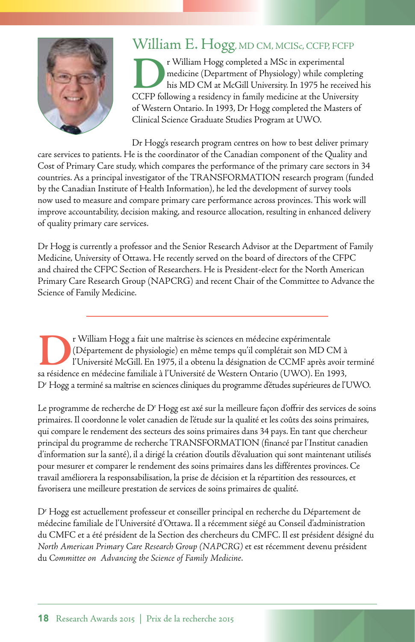

### William E. Hogg, MD CM, MCISc, CCFP, FCFP

**DEREVI ENDINEER CONTROLLED THE MANUS CONTROLLED THE MANU CONTROLLED TO A THE MANUS CONTROLLED TO A THE MANUS CONTROLLED TO A THE CONTROLLED TO A THE CONTROLLED TO A THE CONTROLLED TO A THE CONTROLLED TO A THE CONTROLLED T** medicine (Department of Physiology) while completing his MD CM at McGill University. In 1975 he received his CCFP following a residency in family medicine at the University of Western Ontario. In 1993, Dr Hogg completed the Masters of Clinical Science Graduate Studies Program at UWO.

Dr Hogg's research program centres on how to best deliver primary care services to patients. He is the coordinator of the Canadian component of the Quality and Cost of Primary Care study, which compares the performance of the primary care sectors in 34 countries. As a principal investigator of the TRANSFORMATION research program (funded by the Canadian Institute of Health Information), he led the development of survey tools now used to measure and compare primary care performance across provinces. This work will improve accountability, decision making, and resource allocation, resulting in enhanced delivery of quality primary care services.

Dr Hogg is currently a professor and the Senior Research Advisor at the Department of Family Medicine, University of Ottawa. He recently served on the board of directors of the CFPC and chaired the CFPC Section of Researchers. He is President-elect for the North American Primary Care Research Group (NAPCRG) and recent Chair of the Committee to Advance the Science of Family Medicine.

 Dr Hogg a terminé sa maîtrise en sciences cliniques du programme d'études supérieures de l'UWO. **Dr** William Hogg a fait une maîtrise ès sciences en médecine expérimentale<br>
Département de physiologie) en même temps qu'il complétait son MD C<br>
l'Université McGill. En 1975, il a obtenu la désignation de CCMF après a<br>
sa (Département de physiologie) en même temps qu'il complétait son MD CM à l'Université McGill. En 1975, il a obtenu la désignation de CCMF après avoir terminé sa résidence en médecine familiale à l'Université de Western Ontario (UWO). En 1993,

Le programme de recherche de Dr Hogg est axé sur la meilleure façon d'offrir des services de soins primaires. Il coordonne le volet canadien de l'étude sur la qualité et les coûts des soins primaires, qui compare le rendement des secteurs des soins primaires dans 34 pays. En tant que chercheur principal du programme de recherche TRANSFORMATION (financé par l'Institut canadien d'information sur la santé), il a dirigé la création d'outils d'évaluation qui sont maintenant utilisés pour mesurer et comparer le rendement des soins primaires dans les différentes provinces. Ce travail améliorera la responsabilisation, la prise de décision et la répartition des ressources, et favorisera une meilleure prestation de services de soins primaires de qualité.

Dr Hogg est actuellement professeur et conseiller principal en recherche du Département de médecine familiale de l'Université d'Ottawa. Il a récemment siégé au Conseil d'administration du CMFC et a été président de la Section des chercheurs du CMFC. Il est président désigné du *North American Primary Care Research Group (NAPCRG)* et est récemment devenu président du *Committee on Advancing the Science of Family Medicine*.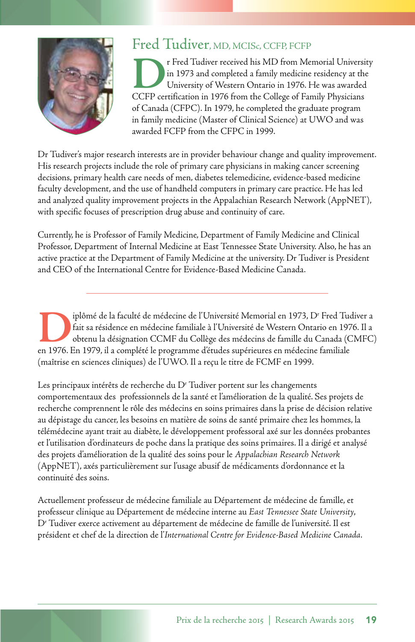

### Fred Tudiver, MD, MCISc, CCFP, FCFP

**DERIVATE: The Tudiver received his MD from Memorial University<br>in 1973 and completed a family medicine residency at the<br>University of Western Ontario in 1976. He was awarded<br>CCFP certification in 1976 from the College of** in 1973 and completed a family medicine residency at the University of Western Ontario in 1976. He was awarded CCFP certification in 1976 from the College of Family Physicians of Canada (CFPC). In 1979, he completed the graduate program in family medicine (Master of Clinical Science) at UWO and was awarded FCFP from the CFPC in 1999.

Dr Tudiver's major research interests are in provider behaviour change and quality improvement. His research projects include the role of primary care physicians in making cancer screening decisions, primary health care needs of men, diabetes telemedicine, evidence-based medicine faculty development, and the use of handheld computers in primary care practice. He has led and analyzed quality improvement projects in the Appalachian Research Network (AppNET), with specific focuses of prescription drug abuse and continuity of care.

Currently, he is Professor of Family Medicine, Department of Family Medicine and Clinical Professor, Department of Internal Medicine at East Tennessee State University. Also, he has an active practice at the Department of Family Medicine at the university. Dr Tudiver is President and CEO of the International Centre for Evidence-Based Medicine Canada.

iplômé de la faculté de médecine de l'Université Memorial en 1973, D<sup>r</sup><br>fait sa résidence en médecine familiale à l'Université de Western Ontar<br>obtenu la désignation CCMF du Collège des médecins de famille du C<br>en 1976. En iplômé de la faculté de médecine de l'Université Memorial en 1973, D<sup>r</sup> Fred Tudiver a fait sa résidence en médecine familiale à l'Université de Western Ontario en 1976. Il a obtenu la désignation CCMF du Collège des médecins de famille du Canada (CMFC) en 1976. En 1979, il a complété le programme d'études supérieures en médecine familiale (maîtrise en sciences cliniques) de l'UWO. Il a reçu le titre de FCMF en 1999.

Les principaux intérêts de recherche du D<sup>r</sup> Tudiver portent sur les changements comportementaux des professionnels de la santé et l'amélioration de la qualité. Ses projets de recherche comprennent le rôle des médecins en soins primaires dans la prise de décision relative au dépistage du cancer, les besoins en matière de soins de santé primaire chez les hommes, la télémédecine ayant trait au diabète, le développement professoral axé sur les données probantes et l'utilisation d'ordinateurs de poche dans la pratique des soins primaires. Il a dirigé et analysé des projets d'amélioration de la qualité des soins pour le *Appalachian Research Network*  (AppNET), axés particulièrement sur l'usage abusif de médicaments d'ordonnance et la continuité des soins.

Actuellement professeur de médecine familiale au Département de médecine de famille, et professeur clinique au Département de médecine interne au *East Tennessee State University*, Dr Tudiver exerce activement au département de médecine de famille de l'université. Il est président et chef de la direction de l'*International Centre for Evidence-Based Medicine Canada*.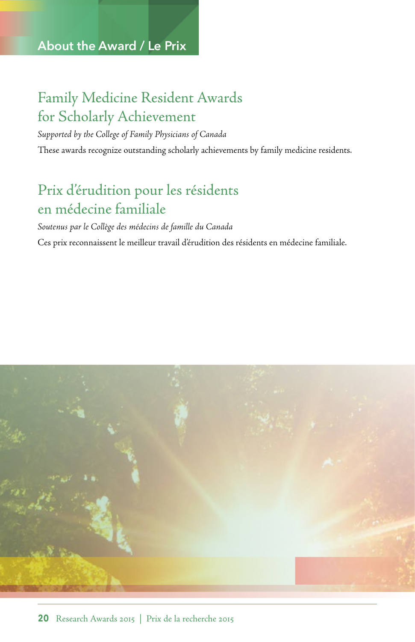### **About the Award / Le Prix**

## Family Medicine Resident Awards for Scholarly Achievement

*Supported by the College of Family Physicians of Canada*  These awards recognize outstanding scholarly achievements by family medicine residents.

## Prix d'érudition pour les résidents en médecine familiale

*Soutenus par le Collège des médecins de famille du Canada*  Ces prix reconnaissent le meilleur travail d'érudition des résidents en médecine familiale.

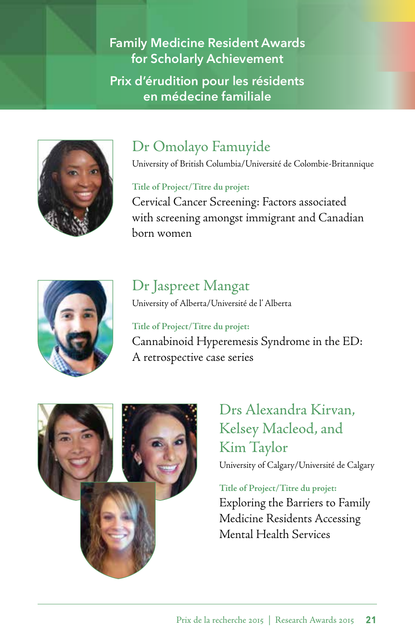**Family Medicine Resident Awards for Scholarly Achievement Prix d'érudition pour les résidents en médecine familiale** 



## Dr Omolayo Famuyide

University of British Columbia/Université de Colombie-Britannique

**Title of Project/Titre du projet:** 

Cervical Cancer Screening: Factors associated with screening amongst immigrant and Canadian born women



## Dr Jaspreet Mangat

University of Alberta/Université de l' Alberta

 Cannabinoid Hyperemesis Syndrome in the ED: A retrospective case series **Title of Project/Titre du projet:** 



Drs Alexandra Kirvan, Kelsey Macleod, and Kim Taylor University of Calgary/Université de Calgary

**Title of Project/Titre du projet:**  Exploring the Barriers to Family Medicine Residents Accessing Mental Health Services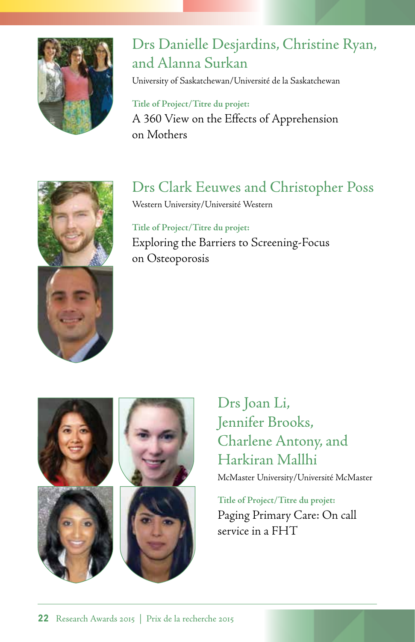

## Drs Danielle Desjardins, Christine Ryan, and Alanna Surkan

University of Saskatchewan/Université de la Saskatchewan

**Title of Project/Titre du projet:**  A 360 View on the Effects of Apprehension on Mothers

## Drs Clark Eeuwes and Christopher Poss

Western University/Université Western

**Title of Project/Titre du projet:**  Exploring the Barriers to Screening-Focus on Osteoporosis





Drs Joan Li, Drs Joan Li,<br>Jennifer Brooks, Charlene Antony, and Harkiran Mallhi

McMaster University/Université McMaster

**Title of Project/Titre du projet:**  Paging Primary Care: On call service in a FHT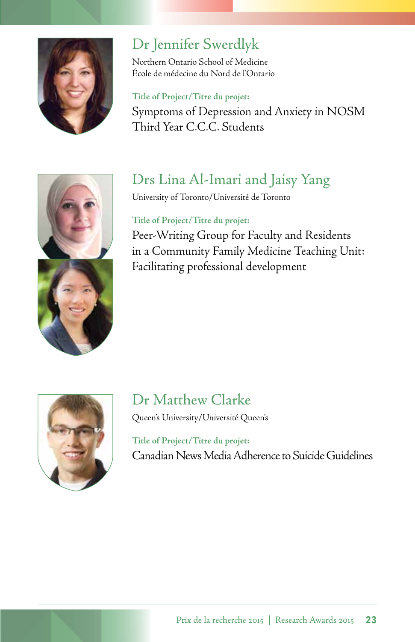

## Dr Jennifer Swerdlyk

Northern Ontario School of Medicine École de médecine du Nord de l'Ontario

### **Title of Project/Titre du projet:**

Symptoms of Depression and Anxiety in NOSM Third Year C.C.C. Students



## Drs Lina Al-Imari and Jaisy Yang

University of Toronto/Université de Toronto

### **Title of Project/Titre du projet:**

Peer-Writing Group for Faculty and Residents in a Community Family Medicine Teaching Unit: Facilitating professional development



# Dr Matthew Clarke

Queen's University/Université Queen's

**Title of Project/Titre du projet:**  Canadian News Media Adherence to Suicide Guidelines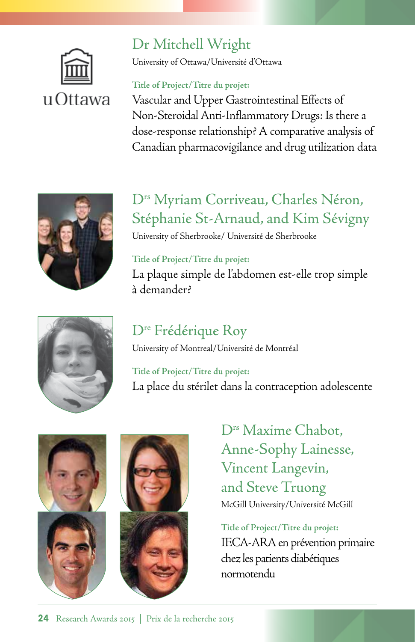

## Dr Mitchell Wright

University of Ottawa/Université d'Ottawa

### **Title of Project/Titre du projet:**

Vascular and Upper Gastrointestinal Effects of Non-Steroidal Anti-Inflammatory Drugs: Is there a dose-response relationship? A comparative analysis of Canadian pharmacovigilance and drug utilization data



## D<sup>rs</sup> Myriam Corriveau, Charles Néron, Stéphanie St-Arnaud, and Kim Sévigny

University of Sherbrooke/ Université de Sherbrooke

### **Title of Project/Titre du projet:**

La plaque simple de l'abdomen est-elle trop simple à demander?



University of Montreal/Université de Montréal

**Title of Project/Titre du projet:**  La place du stérilet dans la contraception adolescente





D<sup>rs</sup> Maxime Chabot. Anne-Sophy Lainesse, Vincent Langevin, and Steve Truong McGill University/Université McGill

**Title of Project/Titre du projet:**  IECA-ARA en prévention primaire chez les patients diabétiques normotendu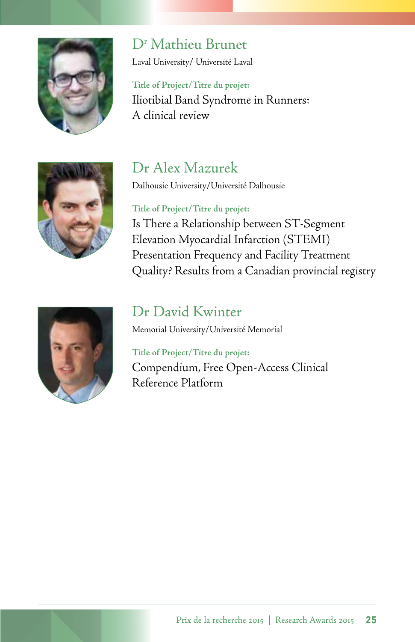

## D<sup>r</sup> Mathieu Brunet

Laval University/ Université Laval

 Iliotibial Band Syndrome in Runners: A clinical review **Title of Project/Titre du projet:** 



## Dr Alex Mazurek

Dalhousie University/Université Dalhousie

### **Title of Project/Titre du projet:**

Is There a Relationship between ST-Segment Elevation Myocardial Infarction (STEMI) Presentation Frequency and Facility Treatment Quality? Results from a Canadian provincial registry



### Dr David Kwinter

Memorial University/Université Memorial

### **Title of Project/Titre du projet:**

Compendium, Free Open-Access Clinical Reference Platform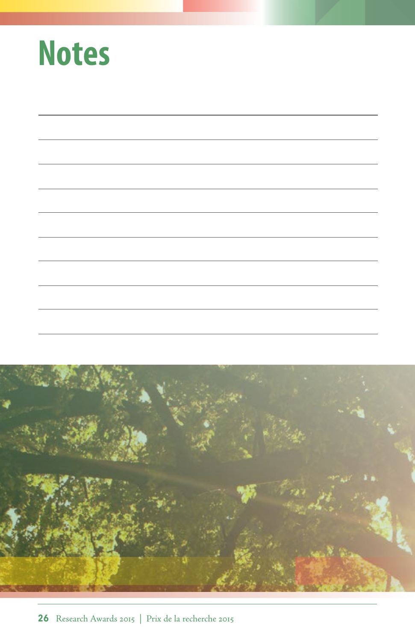| <b>Notes</b> |
|--------------|
|--------------|

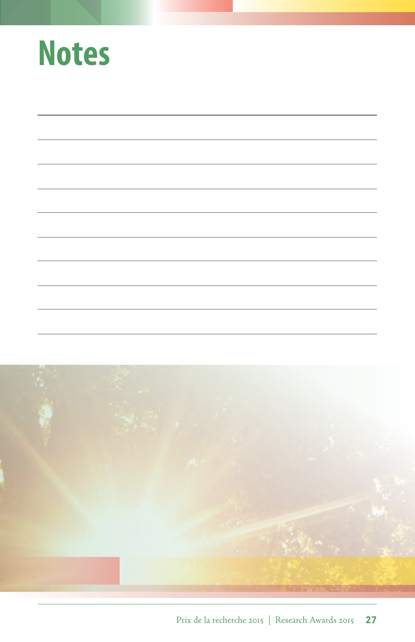